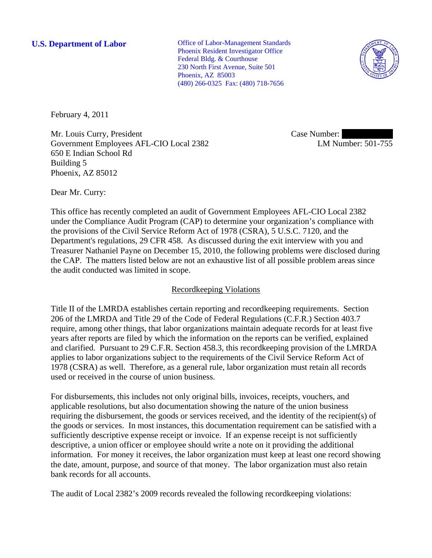**U.S. Department of Labor Conserverse Conserverse Conserverse Conserverse Conserverse Conserverse Conserverse Conserverse Conserverse Conserverse Conserverse Conserverse Conserverse Conserverse Conserverse Conserverse Co** Phoenix Resident Investigator Office Federal Bldg. & Courthouse 230 North First Avenue, Suite 501 Phoenix, AZ 85003 (480) 266-0325 Fax: (480) 718-7656



February 4, 2011

Mr. Louis Curry, President Government Employees AFL-CIO Local 2382 650 E Indian School Rd Building 5 Phoenix, AZ 85012

Case Number: LM Number: 501-755

Dear Mr. Curry:

This office has recently completed an audit of Government Employees AFL-CIO Local 2382 under the Compliance Audit Program (CAP) to determine your organization's compliance with the provisions of the Civil Service Reform Act of 1978 (CSRA), 5 U.S.C. 7120, and the Department's regulations, 29 CFR 458. As discussed during the exit interview with you and Treasurer Nathaniel Payne on December 15, 2010, the following problems were disclosed during the CAP. The matters listed below are not an exhaustive list of all possible problem areas since the audit conducted was limited in scope.

## Recordkeeping Violations

Title II of the LMRDA establishes certain reporting and recordkeeping requirements. Section 206 of the LMRDA and Title 29 of the Code of Federal Regulations (C.F.R.) Section 403.7 require, among other things, that labor organizations maintain adequate records for at least five years after reports are filed by which the information on the reports can be verified, explained and clarified. Pursuant to 29 C.F.R. Section 458.3, this recordkeeping provision of the LMRDA applies to labor organizations subject to the requirements of the Civil Service Reform Act of 1978 (CSRA) as well. Therefore, as a general rule, labor organization must retain all records used or received in the course of union business.

For disbursements, this includes not only original bills, invoices, receipts, vouchers, and applicable resolutions, but also documentation showing the nature of the union business requiring the disbursement, the goods or services received, and the identity of the recipient(s) of the goods or services. In most instances, this documentation requirement can be satisfied with a sufficiently descriptive expense receipt or invoice. If an expense receipt is not sufficiently descriptive, a union officer or employee should write a note on it providing the additional information. For money it receives, the labor organization must keep at least one record showing the date, amount, purpose, and source of that money. The labor organization must also retain bank records for all accounts.

The audit of Local 2382's 2009 records revealed the following recordkeeping violations: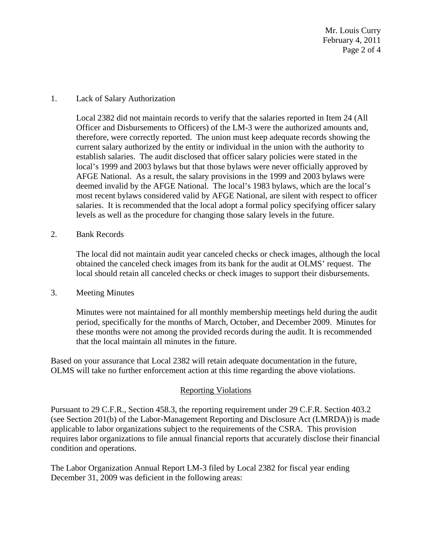Mr. Louis Curry February 4, 2011 Page 2 of 4

## 1. Lack of Salary Authorization

Local 2382 did not maintain records to verify that the salaries reported in Item 24 (All Officer and Disbursements to Officers) of the LM-3 were the authorized amounts and, therefore, were correctly reported. The union must keep adequate records showing the current salary authorized by the entity or individual in the union with the authority to establish salaries. The audit disclosed that officer salary policies were stated in the local's 1999 and 2003 bylaws but that those bylaws were never officially approved by AFGE National. As a result, the salary provisions in the 1999 and 2003 bylaws were deemed invalid by the AFGE National. The local's 1983 bylaws, which are the local's most recent bylaws considered valid by AFGE National, are silent with respect to officer salaries. It is recommended that the local adopt a formal policy specifying officer salary levels as well as the procedure for changing those salary levels in the future.

2. Bank Records

The local did not maintain audit year canceled checks or check images, although the local obtained the canceled check images from its bank for the audit at OLMS' request. The local should retain all canceled checks or check images to support their disbursements.

3. Meeting Minutes

Minutes were not maintained for all monthly membership meetings held during the audit period, specifically for the months of March, October, and December 2009. Minutes for these months were not among the provided records during the audit. It is recommended that the local maintain all minutes in the future.

Based on your assurance that Local 2382 will retain adequate documentation in the future, OLMS will take no further enforcement action at this time regarding the above violations.

## Reporting Violations

Pursuant to 29 C.F.R., Section 458.3, the reporting requirement under 29 C.F.R. Section 403.2 (see Section 201(b) of the Labor-Management Reporting and Disclosure Act (LMRDA)) is made applicable to labor organizations subject to the requirements of the CSRA. This provision requires labor organizations to file annual financial reports that accurately disclose their financial condition and operations.

The Labor Organization Annual Report LM-3 filed by Local 2382 for fiscal year ending December 31, 2009 was deficient in the following areas: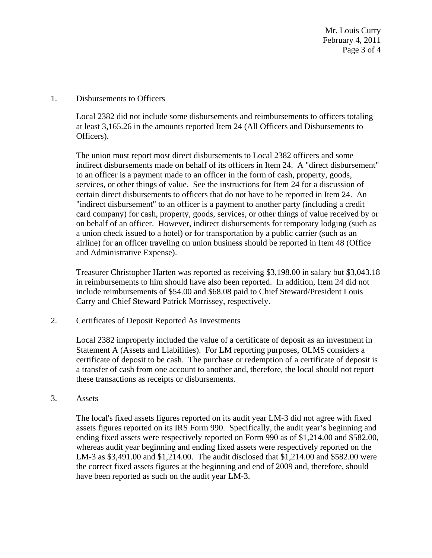Mr. Louis Curry February 4, 2011 Page 3 of 4

1. Disbursements to Officers

Local 2382 did not include some disbursements and reimbursements to officers totaling at least 3,165.26 in the amounts reported Item 24 (All Officers and Disbursements to Officers).

The union must report most direct disbursements to Local 2382 officers and some indirect disbursements made on behalf of its officers in Item 24. A "direct disbursement" to an officer is a payment made to an officer in the form of cash, property, goods, services, or other things of value. See the instructions for Item 24 for a discussion of certain direct disbursements to officers that do not have to be reported in Item 24. An "indirect disbursement" to an officer is a payment to another party (including a credit card company) for cash, property, goods, services, or other things of value received by or on behalf of an officer. However, indirect disbursements for temporary lodging (such as a union check issued to a hotel) or for transportation by a public carrier (such as an airline) for an officer traveling on union business should be reported in Item 48 (Office and Administrative Expense).

Treasurer Christopher Harten was reported as receiving \$3,198.00 in salary but \$3,043.18 in reimbursements to him should have also been reported. In addition, Item 24 did not include reimbursements of \$54.00 and \$68.08 paid to Chief Steward/President Louis Carry and Chief Steward Patrick Morrissey, respectively.

2. Certificates of Deposit Reported As Investments

Local 2382 improperly included the value of a certificate of deposit as an investment in Statement A (Assets and Liabilities). For LM reporting purposes, OLMS considers a certificate of deposit to be cash. The purchase or redemption of a certificate of deposit is a transfer of cash from one account to another and, therefore, the local should not report these transactions as receipts or disbursements.

3. Assets

The local's fixed assets figures reported on its audit year LM-3 did not agree with fixed assets figures reported on its IRS Form 990. Specifically, the audit year's beginning and ending fixed assets were respectively reported on Form 990 as of \$1,214.00 and \$582.00, whereas audit year beginning and ending fixed assets were respectively reported on the LM-3 as \$3,491.00 and \$1,214.00. The audit disclosed that \$1,214.00 and \$582.00 were the correct fixed assets figures at the beginning and end of 2009 and, therefore, should have been reported as such on the audit year LM-3.